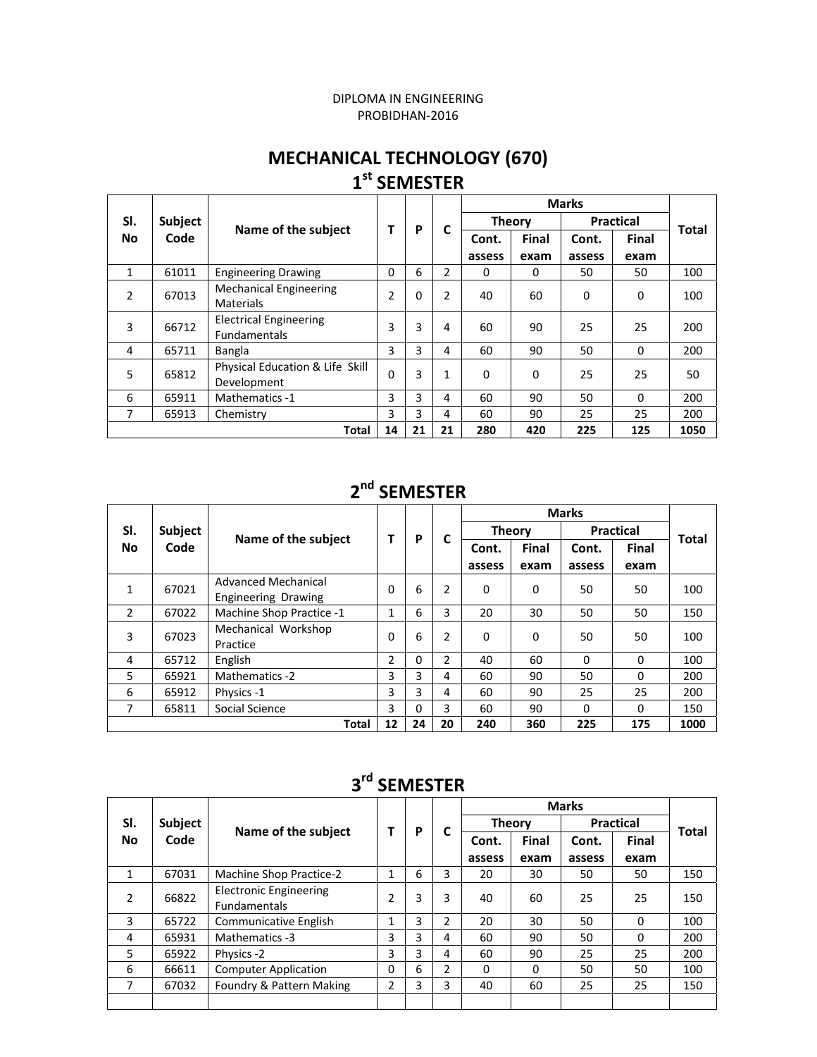#### DIPLOMA IN ENGINEERING PROBIDHAN‐2016

#### **MECHANICAL TECHNOLOGY (670) 1st SEMESTER**

| SI.            | Subject |                                                      | Т              | P  | C            | <b>Theory</b> |       | <b>Practical</b> |          | <b>Total</b> |
|----------------|---------|------------------------------------------------------|----------------|----|--------------|---------------|-------|------------------|----------|--------------|
| <b>No</b>      | Code    | Name of the subject                                  |                |    |              | Cont.         | Final | Cont.            | Final    |              |
|                |         |                                                      |                |    |              | assess        | exam  | assess           | exam     |              |
| $\mathbf{1}$   | 61011   | <b>Engineering Drawing</b>                           | $\Omega$       | 6  | 2            | 0             | 0     | 50               | 50       | 100          |
| $\overline{2}$ | 67013   | <b>Mechanical Engineering</b><br>Materials           | $\overline{2}$ | 0  | 2            | 40            | 60    | $\Omega$         | 0        | 100          |
| 3              | 66712   | <b>Electrical Engineering</b><br><b>Fundamentals</b> | 3              | 3  | 4            | 60            | 90    | 25               | 25       | 200          |
| 4              | 65711   | Bangla                                               | 3              | 3  | 4            | 60            | 90    | 50               | $\Omega$ | 200          |
| 5              | 65812   | Physical Education & Life Skill<br>Development       | $\Omega$       | 3  | $\mathbf{1}$ | $\Omega$      | 0     | 25               | 25       | 50           |
| 6              | 65911   | Mathematics -1                                       | 3              | 3  | 4            | 60            | 90    | 50               | $\Omega$ | 200          |
| 7              | 65913   | Chemistry                                            | 3              | 3  | 4            | 60            | 90    | 25               | 25       | 200          |
|                |         | <b>Total</b>                                         | 14             | 21 | 21           | 280           | 420   | 225              | 125      | 1050         |

#### **2nd SEMESTER**

|                  |                |                                                   |          |    | C  |               |              |                  |          |       |
|------------------|----------------|---------------------------------------------------|----------|----|----|---------------|--------------|------------------|----------|-------|
| SI.<br><b>No</b> | <b>Subject</b> |                                                   | т        | P  |    | <b>Theory</b> |              | <b>Practical</b> |          | Total |
|                  | Code           | Name of the subject                               |          |    |    | Cont.         | <b>Final</b> | Cont.            | Final    |       |
|                  |                |                                                   |          |    |    | assess        | exam         | assess           | exam     |       |
| 1                | 67021          | Advanced Mechanical<br><b>Engineering Drawing</b> | $\Omega$ | 6  | 2  | 0             | 0            | 50               | 50       | 100   |
| $\overline{2}$   | 67022          | Machine Shop Practice -1                          | 1        | 6  | 3  | 20            | 30           | 50               | 50       | 150   |
| 3                | 67023          | Mechanical Workshop<br>Practice                   | 0        | 6  | 2  | 0             | 0            | 50               | 50       | 100   |
| 4                | 65712          | English                                           | 2        | 0  | 2  | 40            | 60           | 0                | $\Omega$ | 100   |
| 5                | 65921          | Mathematics -2                                    | 3        | 3  | 4  | 60            | 90           | 50               | $\Omega$ | 200   |
| 6                | 65912          | Physics -1                                        | 3        | 3  | 4  | 60            | 90           | 25               | 25       | 200   |
| 7                | 65811          | Social Science                                    | 3        | 0  | 3  | 60            | 90           | 0                | $\Omega$ | 150   |
|                  |                | <b>Total</b>                                      | 12       | 24 | 20 | 240           | 360          | 225              | 175      | 1000  |

## **3rd SEMESTER**

|                  |                |                                                      |              |   |                |          |               | <b>Marks</b> |                  |              |
|------------------|----------------|------------------------------------------------------|--------------|---|----------------|----------|---------------|--------------|------------------|--------------|
| SI.<br><b>No</b> | <b>Subject</b> |                                                      |              | P | C              |          | <b>Theory</b> |              | <b>Practical</b> | <b>Total</b> |
|                  | Code           | Name of the subject                                  |              |   |                | Cont.    | Final         | Cont.        | Final            |              |
|                  |                |                                                      |              |   |                | assess   | exam          | assess       | exam             |              |
| $\mathbf{1}$     | 67031          | <b>Machine Shop Practice-2</b>                       | $\mathbf{1}$ | 6 | 3              | 20       | 30            | 50           | 50               | 150          |
| 2                | 66822          | <b>Electronic Engineering</b><br><b>Fundamentals</b> | 2            | 3 | 3              | 40       | 60            | 25           | 25               | 150          |
| 3                | 65722          | <b>Communicative English</b>                         |              | 3 | 2              | 20       | 30            | 50           | $\Omega$         | 100          |
| 4                | 65931          | Mathematics -3                                       | 3            | 3 | 4              | 60       | 90            | 50           | 0                | 200          |
| 5                | 65922          | Physics -2                                           | 3            | 3 | 4              | 60       | 90            | 25           | 25               | 200          |
| 6                | 66611          | <b>Computer Application</b>                          | $\Omega$     | 6 | $\overline{2}$ | $\Omega$ | 0             | 50           | 50               | 100          |
| 7                | 67032          | Foundry & Pattern Making                             | 2            | 3 | 3              | 40       | 60            | 25           | 25               | 150          |
|                  |                |                                                      |              |   |                |          |               |              |                  |              |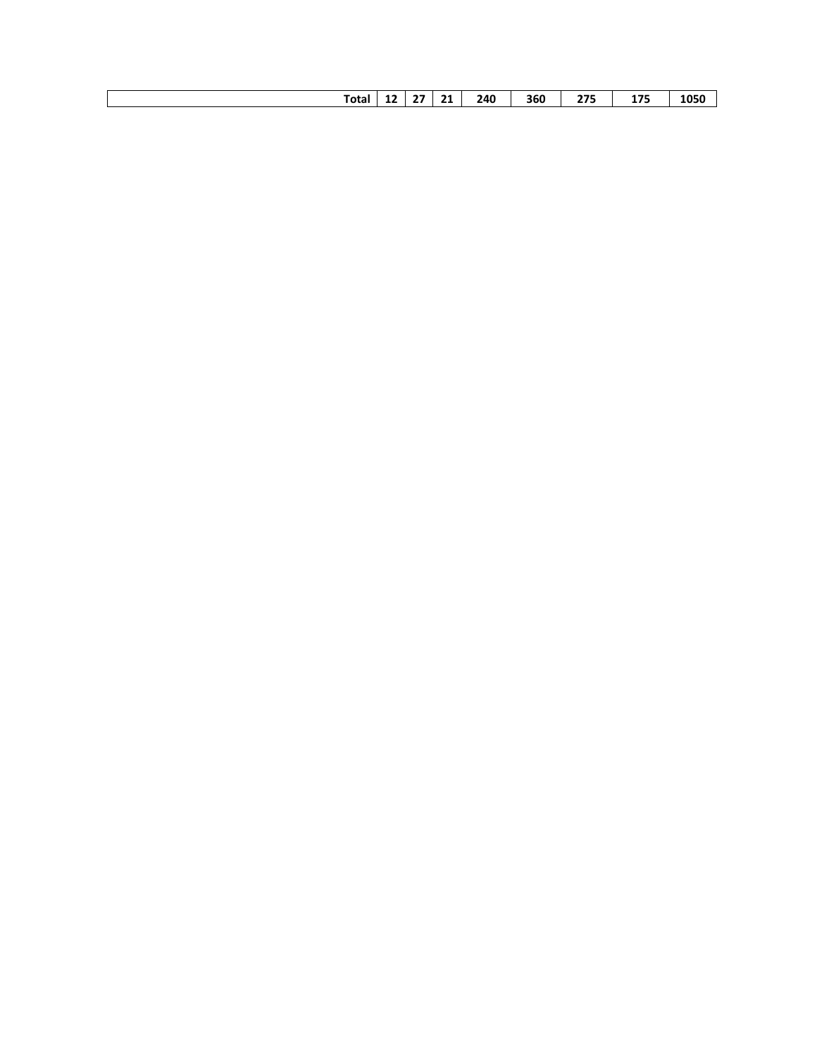| Total | -- | $-$<br> | 21 | 240<br>. TU<br>____ | 360<br>--- | <b>A 75</b><br>___ | $\overline{\phantom{a}}$<br>. .<br>. .<br>--<br>_____ | 1050<br>___ |
|-------|----|---------|----|---------------------|------------|--------------------|-------------------------------------------------------|-------------|
|       |    |         |    |                     |            |                    |                                                       |             |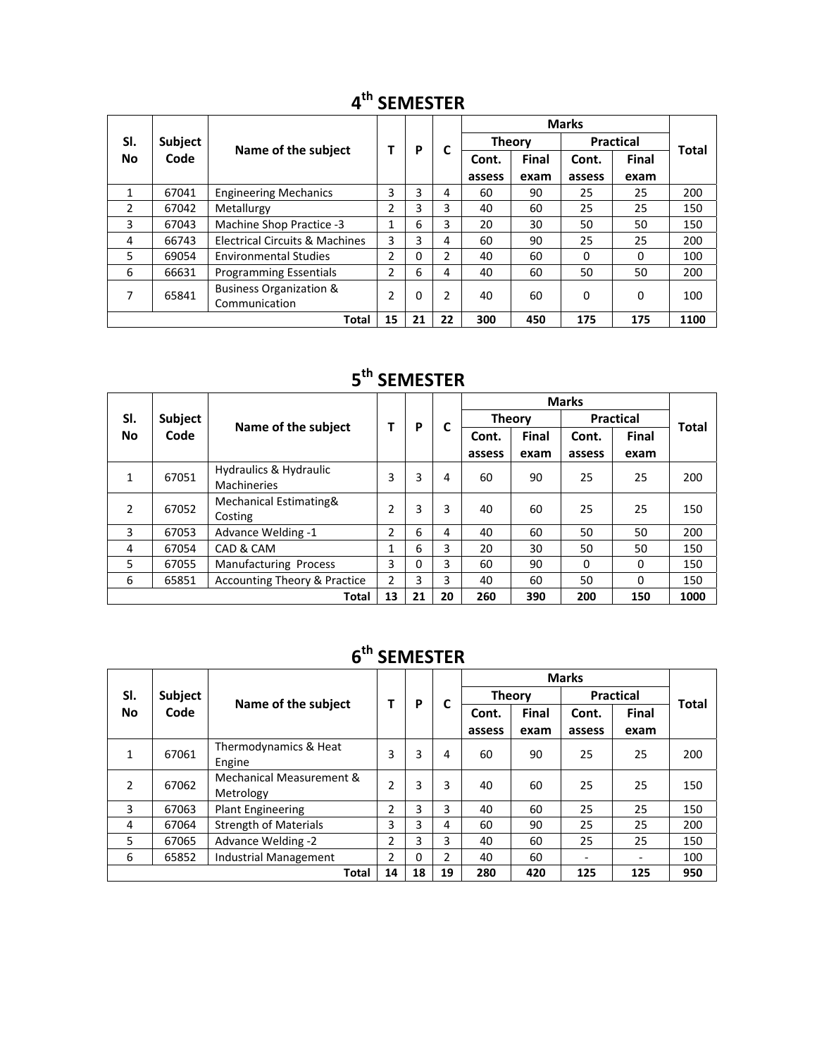|                  |                |                                           |                |    | С  |               |              | <b>Marks</b> |                  | Total |
|------------------|----------------|-------------------------------------------|----------------|----|----|---------------|--------------|--------------|------------------|-------|
| SI.<br><b>No</b> | <b>Subject</b> |                                           |                | P  |    | <b>Theory</b> |              |              | <b>Practical</b> |       |
|                  | Code           | Name of the subject                       |                |    |    | Cont.         | <b>Final</b> | Cont.        | <b>Final</b>     |       |
|                  |                |                                           |                |    |    | assess        | exam         | assess       | exam             |       |
| 1                | 67041          | <b>Engineering Mechanics</b>              | 3              | 3  | 4  | 60            | 90           | 25           | 25               | 200   |
| 2                | 67042          | Metallurgy                                | 2              | 3  | 3  | 40            | 60           | 25           | 25               | 150   |
| 3                | 67043          | Machine Shop Practice -3                  | 1              | 6  | 3  | 20            | 30           | 50           | 50               | 150   |
| 4                | 66743          | <b>Electrical Circuits &amp; Machines</b> | 3              | 3  | 4  | 60            | 90           | 25           | 25               | 200   |
| 5                | 69054          | <b>Environmental Studies</b>              | 2              | 0  | 2  | 40            | 60           | 0            | 0                | 100   |
| 6                | 66631          | <b>Programming Essentials</b>             | 2              | 6  | 4  | 40            | 60           | 50           | 50               | 200   |
| 7                |                | <b>Business Organization &amp;</b>        | $\overline{2}$ | 0  | 2  | 40            | 60           | 0            | 0                | 100   |
|                  | 65841          | Communication                             |                |    |    |               |              |              |                  |       |
|                  |                | <b>Total</b>                              | 15             | 21 | 22 | 300           | 450          | 175          | 175              | 1100  |

## **4th SEMESTER**

# **5th SEMESTER**

|                  |         |                                              |                | P  |    |               |       |                  |          |              |
|------------------|---------|----------------------------------------------|----------------|----|----|---------------|-------|------------------|----------|--------------|
| SI.<br><b>No</b> | Subject |                                              |                |    | C  | <b>Theory</b> |       | <b>Practical</b> |          | <b>Total</b> |
|                  | Code    | Name of the subject                          |                |    |    | Cont.         | Final | Cont.            | Final    |              |
|                  |         |                                              |                |    |    | assess        | exam  | assess           | exam     |              |
| 1                | 67051   | Hydraulics & Hydraulic<br><b>Machineries</b> | 3              | 3  | 4  | 60            | 90    | 25               | 25       | 200          |
| 2                | 67052   | Mechanical Estimating&<br>Costing            | $\overline{2}$ | 3  | 3  | 40            | 60    | 25               | 25       | 150          |
| 3                | 67053   | Advance Welding -1                           | 2              | 6  | 4  | 40            | 60    | 50               | 50       | 200          |
| 4                | 67054   | CAD & CAM                                    | 1              | 6  | 3  | 20            | 30    | 50               | 50       | 150          |
| 5                | 67055   | <b>Manufacturing Process</b>                 | 3              | 0  | 3  | 60            | 90    | $\Omega$         | $\Omega$ | 150          |
| 6                | 65851   | <b>Accounting Theory &amp; Practice</b>      | $\overline{2}$ | 3  | 3  | 40            | 60    | 50               | $\Omega$ | 150          |
|                  |         | <b>Total</b>                                 | 13             | 21 | 20 | 260           | 390   | 200              | 150      | 1000         |

## **6th SEMESTER**

|                  |         | Name of the subject                   |    |    |               |        |               |                  |                          |              |
|------------------|---------|---------------------------------------|----|----|---------------|--------|---------------|------------------|--------------------------|--------------|
| SI.<br><b>No</b> | Subject |                                       |    | P  |               |        | <b>Theory</b> | <b>Practical</b> |                          | <b>Total</b> |
|                  | Code    |                                       |    |    | C             | Cont.  | Final         | Cont.            | <b>Final</b>             |              |
|                  |         |                                       |    |    |               | assess | exam          | assess           | exam                     |              |
| $\mathbf{1}$     | 67061   | Thermodynamics & Heat<br>Engine       | 3  | 3  | 4             | 60     | 90            | 25               | 25                       | 200          |
| 2                | 67062   | Mechanical Measurement &<br>Metrology | 2  | 3  | 3             | 40     | 60            | 25               | 25                       | 150          |
| 3                | 67063   | <b>Plant Engineering</b>              | 2  | 3  | 3             | 40     | 60            | 25               | 25                       | 150          |
| 4                | 67064   | <b>Strength of Materials</b>          | 3  | 3  | 4             | 60     | 90            | 25               | 25                       | 200          |
| 5                | 67065   | Advance Welding -2                    | 2  | 3  | 3             | 40     | 60            | 25               | 25                       | 150          |
| 6                | 65852   | <b>Industrial Management</b>          | 2  | 0  | $\mathcal{P}$ | 40     | 60            |                  | $\overline{\phantom{0}}$ | 100          |
|                  |         | <b>Total</b>                          | 14 | 18 | 19            | 280    | 420           | 125              | 125                      | 950          |